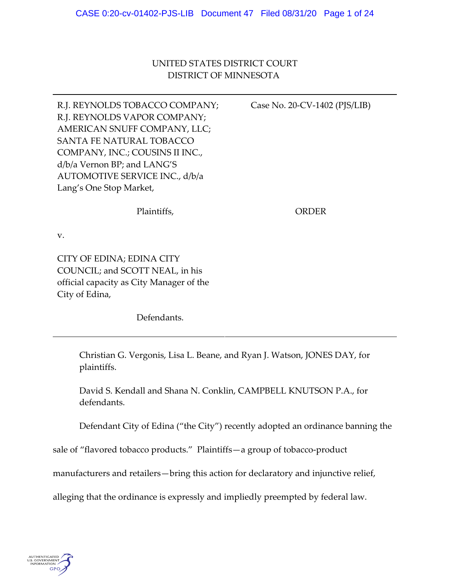UNITED STATES DISTRICT COURT DISTRICT OF MINNESOTA

R.J. REYNOLDS TOBACCO COMPANY; R.J. REYNOLDS VAPOR COMPANY; AMERICAN SNUFF COMPANY, LLC; SANTA FE NATURAL TOBACCO COMPANY, INC.; COUSINS II INC., d/b/a Vernon BP; and LANG'S AUTOMOTIVE SERVICE INC., d/b/a Lang's One Stop Market, Case No. 20‐CV‐1402 (PJS/LIB)

Plaintiffs,

ORDER

v.

CITY OF EDINA; EDINA CITY COUNCIL; and SCOTT NEAL, in his official capacity as City Manager of the City of Edina,

Defendants.

Christian G. Vergonis, Lisa L. Beane, and Ryan J. Watson, JONES DAY, for plaintiffs.

David S. Kendall and Shana N. Conklin, CAMPBELL KNUTSON P.A., for defendants.

Defendant City of Edina ("the City") recently adopted an ordinance banning the

sale of "flavored tobacco products." Plaintiffs—a group of tobacco-product

manufacturers and retailers—bring this action for declaratory and injunctive relief,

alleging that the ordinance is expressly and impliedly preempted by federal law.

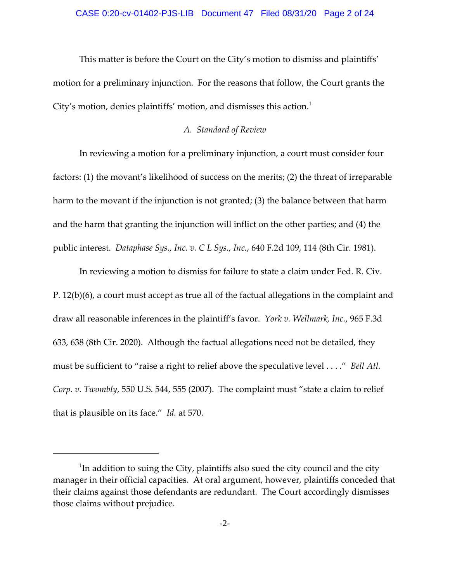This matter is before the Court on the City's motion to dismiss and plaintiffs' motion for a preliminary injunction. For the reasons that follow, the Court grants the City's motion, denies plaintiffs' motion, and dismisses this action. $^1$ 

## *A. Standard of Review*

In reviewing a motion for a preliminary injunction, a court must consider four factors: (1) the movant's likelihood of success on the merits; (2) the threat of irreparable harm to the movant if the injunction is not granted; (3) the balance between that harm and the harm that granting the injunction will inflict on the other parties; and (4) the public interest. *Dataphase Sys., Inc. v. C L Sys., Inc.*, 640 F.2d 109, 114 (8th Cir. 1981).

In reviewing a motion to dismiss for failure to state a claim under Fed. R. Civ. P. 12(b)(6), a court must accept as true all of the factual allegations in the complaint and draw all reasonable inferences in the plaintiff's favor. *York v. Wellmark, Inc.*, 965 F.3d 633, 638 (8th Cir. 2020). Although the factual allegations need not be detailed, they must be sufficient to "raise a right to relief above the speculative level . . . ." *Bell Atl. Corp. v. Twombly*, 550 U.S. 544, 555 (2007). The complaint must "state a claim to relief that is plausible on its face." *Id.* at 570.

 $^1$ In addition to suing the City, plaintiffs also sued the city council and the city manager in their official capacities. At oral argument, however, plaintiffs conceded that their claims against those defendants are redundant. The Court accordingly dismisses those claims without prejudice.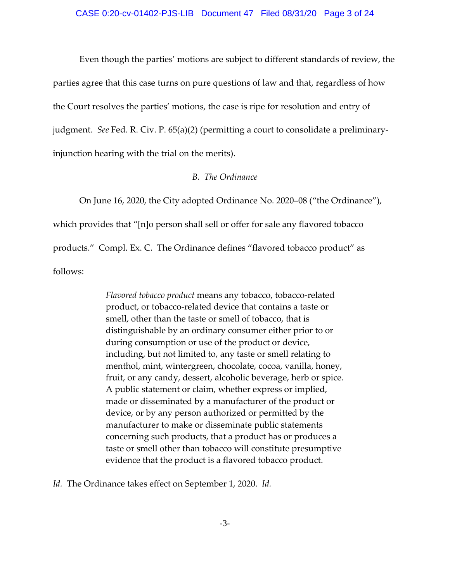Even though the parties' motions are subject to different standards of review, the parties agree that this case turns on pure questions of law and that, regardless of how the Court resolves the parties' motions, the case is ripe for resolution and entry of judgment. *See* Fed. R. Civ. P. 65(a)(2) (permitting a court to consolidate a preliminary‐ injunction hearing with the trial on the merits).

## *B. The Ordinance*

On June 16, 2020, the City adopted Ordinance No. 2020–08 ("the Ordinance"), which provides that "[n]o person shall sell or offer for sale any flavored tobacco products." Compl. Ex. C. The Ordinance defines "flavored tobacco product" as follows:

> *Flavored tobacco product* means any tobacco, tobacco‐related product, or tobacco‐related device that contains a taste or smell, other than the taste or smell of tobacco, that is distinguishable by an ordinary consumer either prior to or during consumption or use of the product or device, including, but not limited to, any taste or smell relating to menthol, mint, wintergreen, chocolate, cocoa, vanilla, honey, fruit, or any candy, dessert, alcoholic beverage, herb or spice. A public statement or claim, whether express or implied, made or disseminated by a manufacturer of the product or device, or by any person authorized or permitted by the manufacturer to make or disseminate public statements concerning such products, that a product has or produces a taste or smell other than tobacco will constitute presumptive evidence that the product is a flavored tobacco product.

*Id.* The Ordinance takes effect on September 1, 2020. *Id.*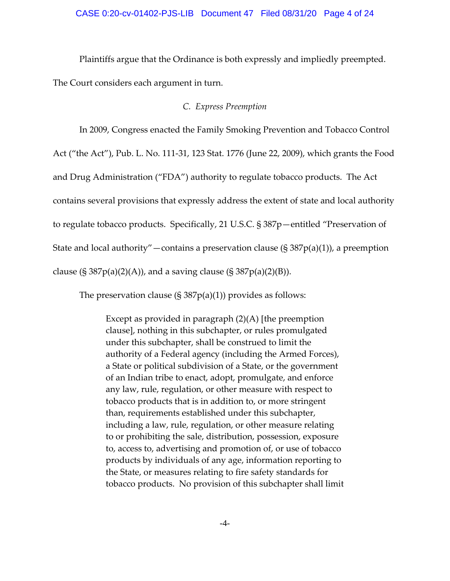Plaintiffs argue that the Ordinance is both expressly and impliedly preempted.

The Court considers each argument in turn.

### *C. Express Preemption*

In 2009, Congress enacted the Family Smoking Prevention and Tobacco Control

Act ("the Act"), Pub. L. No. 111‐31, 123 Stat. 1776 (June 22, 2009), which grants the Food

and Drug Administration ("FDA") authority to regulate tobacco products. The Act

contains several provisions that expressly address the extent of state and local authority

to regulate tobacco products. Specifically, 21 U.S.C. § 387p—entitled "Preservation of

State and local authority"—contains a preservation clause  $(\S 387p(a)(1))$ , a preemption

clause (§ 387 $p(a)(2)(A)$ ), and a saving clause (§ 387 $p(a)(2)(B)$ ).

The preservation clause  $(S \frac{387p(a)}{1})$  provides as follows:

Except as provided in paragraph  $(2)(A)$  [the preemption clause], nothing in this subchapter, or rules promulgated under this subchapter, shall be construed to limit the authority of a Federal agency (including the Armed Forces), a State or political subdivision of a State, or the government of an Indian tribe to enact, adopt, promulgate, and enforce any law, rule, regulation, or other measure with respect to tobacco products that is in addition to, or more stringent than, requirements established under this subchapter, including a law, rule, regulation, or other measure relating to or prohibiting the sale, distribution, possession, exposure to, access to, advertising and promotion of, or use of tobacco products by individuals of any age, information reporting to the State, or measures relating to fire safety standards for tobacco products. No provision of this subchapter shall limit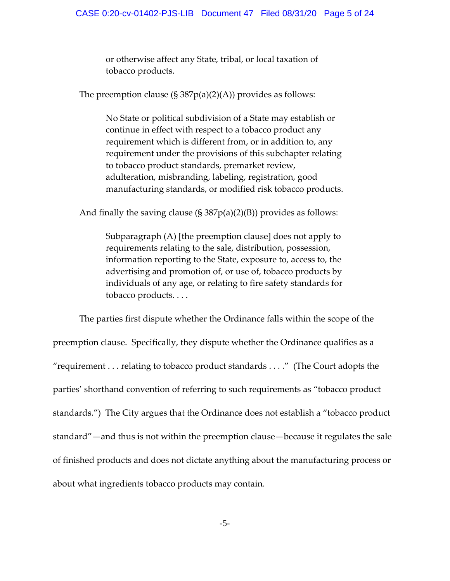or otherwise affect any State, tribal, or local taxation of tobacco products.

The preemption clause  $(S \frac{387p(a)(2)(A)}{p}$  provides as follows:

No State or political subdivision of a State may establish or continue in effect with respect to a tobacco product any requirement which is different from, or in addition to, any requirement under the provisions of this subchapter relating to tobacco product standards, premarket review, adulteration, misbranding, labeling, registration, good manufacturing standards, or modified risk tobacco products.

And finally the saving clause  $(S \cdot 387p(a)(2)(B))$  provides as follows:

Subparagraph (A) [the preemption clause] does not apply to requirements relating to the sale, distribution, possession, information reporting to the State, exposure to, access to, the advertising and promotion of, or use of, tobacco products by individuals of any age, or relating to fire safety standards for tobacco products. . . .

The parties first dispute whether the Ordinance falls within the scope of the preemption clause. Specifically, they dispute whether the Ordinance qualifies as a "requirement . . . relating to tobacco product standards . . . ." (The Court adopts the parties' shorthand convention of referring to such requirements as "tobacco product standards.") The City argues that the Ordinance does not establish a "tobacco product standard"—and thus is not within the preemption clause—because it regulates the sale of finished products and does not dictate anything about the manufacturing process or about what ingredients tobacco products may contain.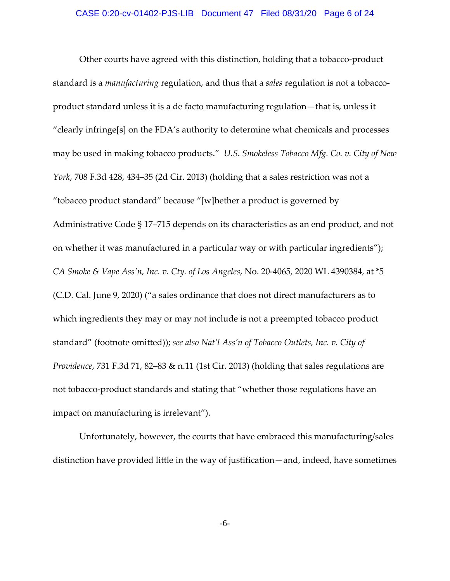Other courts have agreed with this distinction, holding that a tobacco‐product standard is a *manufacturing* regulation, and thus that a *sales* regulation is not a tobacco‐ product standard unless it is a de facto manufacturing regulation—that is, unless it "clearly infringe[s] on the FDA's authority to determine what chemicals and processes may be used in making tobacco products." *U.S. Smokeless Tobacco Mfg. Co. v. City of New York*, 708 F.3d 428, 434–35 (2d Cir. 2013) (holding that a sales restriction was not a "tobacco product standard" because "[w]hether a product is governed by Administrative Code § 17–715 depends on its characteristics as an end product, and not on whether it was manufactured in a particular way or with particular ingredients"); *CA Smoke & Vape Ass'n, Inc. v. Cty. of Los Angeles*, No. 20‐4065, 2020 WL 4390384, at \*5 (C.D. Cal. June 9, 2020) ("a sales ordinance that does not direct manufacturers as to which ingredients they may or may not include is not a preempted tobacco product standard" (footnote omitted)); *see also Nat'l Ass'n of Tobacco Outlets, Inc. v. City of Providence*, 731 F.3d 71, 82–83 & n.11 (1st Cir. 2013) (holding that sales regulations are not tobacco-product standards and stating that "whether those regulations have an impact on manufacturing is irrelevant").

Unfortunately, however, the courts that have embraced this manufacturing/sales distinction have provided little in the way of justification—and, indeed, have sometimes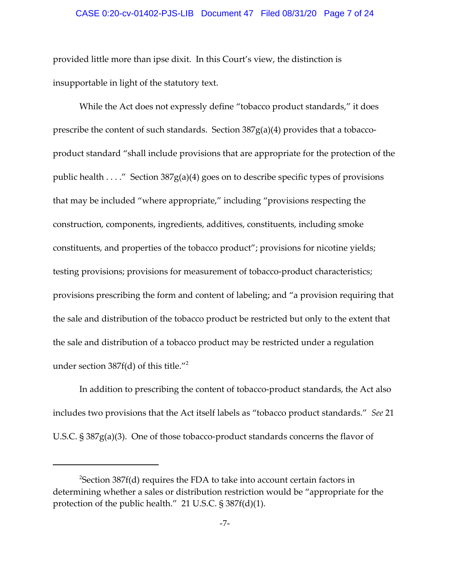#### CASE 0:20-cv-01402-PJS-LIB Document 47 Filed 08/31/20 Page 7 of 24

provided little more than ipse dixit. In this Court's view, the distinction is insupportable in light of the statutory text.

While the Act does not expressly define "tobacco product standards," it does prescribe the content of such standards. Section  $387g(a)(4)$  provides that a tobaccoproduct standard "shall include provisions that are appropriate for the protection of the public health . . . ." Section 387g(a)(4) goes on to describe specific types of provisions that may be included "where appropriate," including "provisions respecting the construction, components, ingredients, additives, constituents, including smoke constituents, and properties of the tobacco product"; provisions for nicotine yields; testing provisions; provisions for measurement of tobacco-product characteristics; provisions prescribing the form and content of labeling; and "a provision requiring that the sale and distribution of the tobacco product be restricted but only to the extent that the sale and distribution of a tobacco product may be restricted under a regulation under section  $387f(d)$  of this title."<sup>2</sup>

In addition to prescribing the content of tobacco-product standards, the Act also includes two provisions that the Act itself labels as "tobacco product standards." *See* 21 U.S.C. § 387g(a)(3). One of those tobacco‐product standards concerns the flavor of

 $^2$ Section 387f(d) requires the FDA to take into account certain factors in determining whether a sales or distribution restriction would be "appropriate for the protection of the public health." 21 U.S.C. § 387f(d)(1).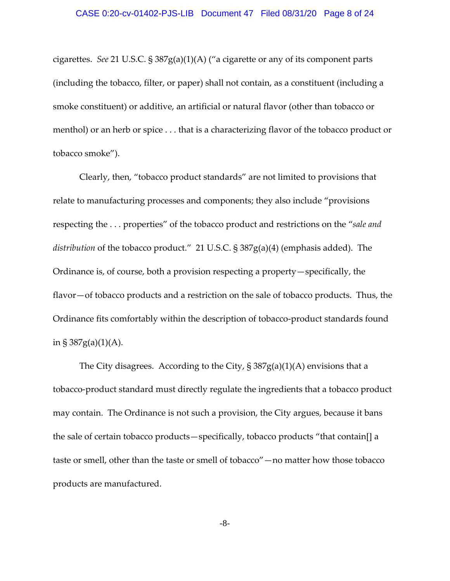cigarettes. *See* 21 U.S.C. § 387g(a)(1)(A) ("a cigarette or any of its component parts (including the tobacco, filter, or paper) shall not contain, as a constituent (including a smoke constituent) or additive, an artificial or natural flavor (other than tobacco or menthol) or an herb or spice . . . that is a characterizing flavor of the tobacco product or tobacco smoke").

Clearly, then, "tobacco product standards" are not limited to provisions that relate to manufacturing processes and components; they also include "provisions respecting the . . . properties" of the tobacco product and restrictions on the "*sale and distribution* of the tobacco product." 21 U.S.C. § 387g(a)(4) (emphasis added). The Ordinance is, of course, both a provision respecting a property—specifically, the flavor—of tobacco products and a restriction on the sale of tobacco products. Thus, the Ordinance fits comfortably within the description of tobacco-product standards found in §  $387g(a)(1)(A)$ .

The City disagrees. According to the City,  $\S 387g(a)(1)(A)$  envisions that a tobacco‐product standard must directly regulate the ingredients that a tobacco product may contain. The Ordinance is not such a provision, the City argues, because it bans the sale of certain tobacco products—specifically, tobacco products "that contain[] a taste or smell, other than the taste or smell of tobacco"—no matter how those tobacco products are manufactured.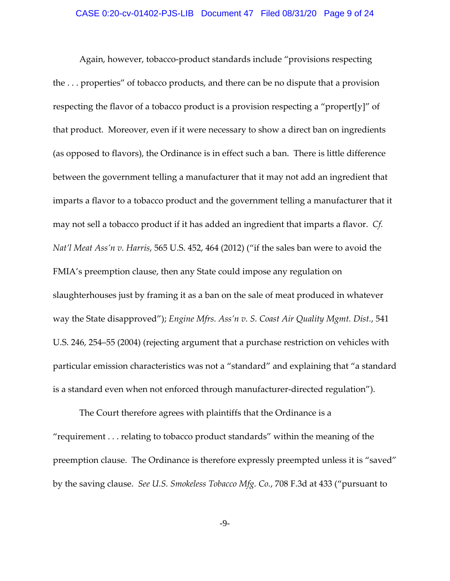### CASE 0:20-cv-01402-PJS-LIB Document 47 Filed 08/31/20 Page 9 of 24

Again, however, tobacco‐product standards include "provisions respecting the . . . properties" of tobacco products, and there can be no dispute that a provision respecting the flavor of a tobacco product is a provision respecting a "propert[y]" of that product. Moreover, even if it were necessary to show a direct ban on ingredients (as opposed to flavors), the Ordinance is in effect such a ban. There is little difference between the government telling a manufacturer that it may not add an ingredient that imparts a flavor to a tobacco product and the government telling a manufacturer that it may not sell a tobacco product if it has added an ingredient that imparts a flavor. *Cf. Nat'l Meat Ass'n v. Harris*, 565 U.S. 452, 464 (2012) ("if the sales ban were to avoid the FMIA's preemption clause, then any State could impose any regulation on slaughterhouses just by framing it as a ban on the sale of meat produced in whatever way the State disapproved"); *Engine Mfrs. Ass'n v. S. Coast Air Quality Mgmt. Dist.*, 541 U.S. 246, 254–55 (2004) (rejecting argument that a purchase restriction on vehicles with particular emission characteristics was not a "standard" and explaining that "a standard is a standard even when not enforced through manufacturer-directed regulation").

The Court therefore agrees with plaintiffs that the Ordinance is a "requirement . . . relating to tobacco product standards" within the meaning of the preemption clause. The Ordinance is therefore expressly preempted unless it is "saved" by the saving clause. *See U.S. Smokeless Tobacco Mfg. Co.*, 708 F.3d at 433 ("pursuant to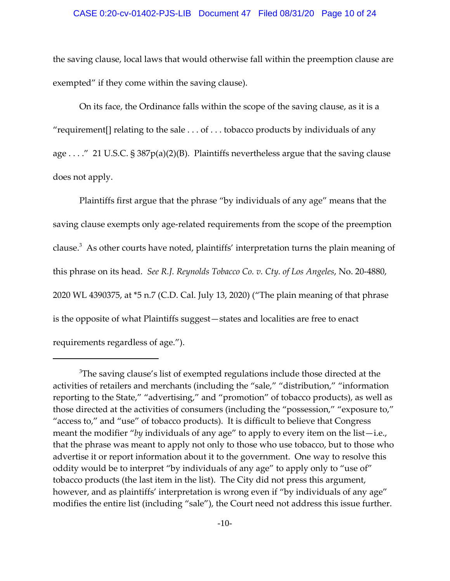#### CASE 0:20-cv-01402-PJS-LIB Document 47 Filed 08/31/20 Page 10 of 24

the saving clause, local laws that would otherwise fall within the preemption clause are exempted" if they come within the saving clause).

On its face, the Ordinance falls within the scope of the saving clause, as it is a "requirement [] relating to the sale  $\dots$  of  $\dots$  tobacco products by individuals of any age . . . ." 21 U.S.C. § 387p(a)(2)(B). Plaintiffs nevertheless argue that the saving clause does not apply.

Plaintiffs first argue that the phrase "by individuals of any age" means that the saving clause exempts only age-related requirements from the scope of the preemption clause.<sup>3</sup> As other courts have noted, plaintiffs' interpretation turns the plain meaning of this phrase on its head. *See R.J. Reynolds Tobacco Co. v. Cty. of Los Angeles*, No. 20‐4880, 2020 WL 4390375, at \*5 n.7 (C.D. Cal. July 13, 2020) ("The plain meaning of that phrase is the opposite of what Plaintiffs suggest—states and localities are free to enact requirements regardless of age.").

 $^3$ The saving clause's list of exempted regulations include those directed at the activities of retailers and merchants (including the "sale," "distribution," "information reporting to the State," "advertising," and "promotion" of tobacco products), as well as those directed at the activities of consumers (including the "possession," "exposure to," "access to," and "use" of tobacco products). It is difficult to believe that Congress meant the modifier "*by* individuals of any age" to apply to every item on the list—i.e., that the phrase was meant to apply not only to those who use tobacco, but to those who advertise it or report information about it to the government. One way to resolve this oddity would be to interpret "by individuals of any age" to apply only to "use of" tobacco products (the last item in the list). The City did not press this argument, however, and as plaintiffs' interpretation is wrong even if "by individuals of any age" modifies the entire list (including "sale"), the Court need not address this issue further.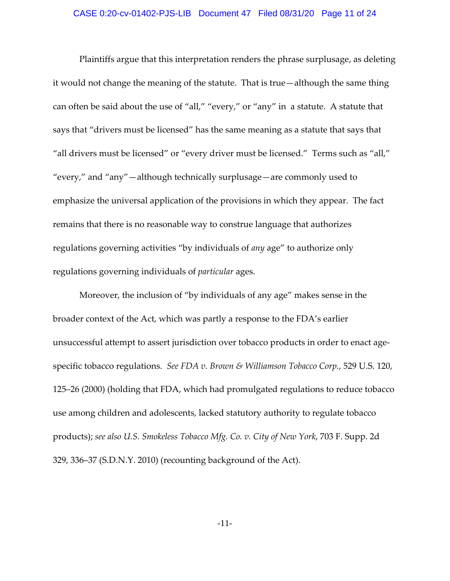## CASE 0:20-cv-01402-PJS-LIB Document 47 Filed 08/31/20 Page 11 of 24

Plaintiffs argue that this interpretation renders the phrase surplusage, as deleting it would not change the meaning of the statute. That is true—although the same thing can often be said about the use of "all," "every," or "any" in a statute. A statute that says that "drivers must be licensed" has the same meaning as a statute that says that "all drivers must be licensed" or "every driver must be licensed." Terms such as "all," "every," and "any"—although technically surplusage—are commonly used to emphasize the universal application of the provisions in which they appear. The fact remains that there is no reasonable way to construe language that authorizes regulations governing activities "by individuals of *any* age" to authorize only regulations governing individuals of *particular* ages.

Moreover, the inclusion of "by individuals of any age" makes sense in the broader context of the Act, which was partly a response to the FDA's earlier unsuccessful attempt to assert jurisdiction over tobacco products in order to enact age‐ specific tobacco regulations. *See FDA v. Brown & Williamson Tobacco Corp.*, 529 U.S. 120, 125–26 (2000) (holding that FDA, which had promulgated regulations to reduce tobacco use among children and adolescents, lacked statutory authority to regulate tobacco products); *see also U.S. Smokeless Tobacco Mfg. Co. v. City of New York*, 703 F. Supp. 2d 329, 336–37 (S.D.N.Y. 2010) (recounting background of the Act).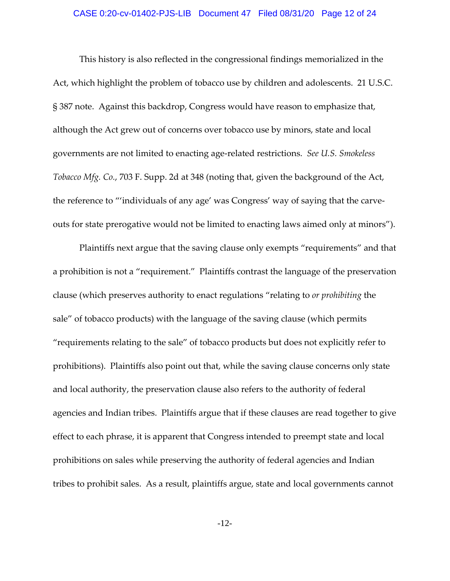## CASE 0:20-cv-01402-PJS-LIB Document 47 Filed 08/31/20 Page 12 of 24

This history is also reflected in the congressional findings memorialized in the Act, which highlight the problem of tobacco use by children and adolescents. 21 U.S.C. § 387 note. Against this backdrop, Congress would have reason to emphasize that, although the Act grew out of concerns over tobacco use by minors, state and local governments are not limited to enacting age‐related restrictions. *See U.S. Smokeless Tobacco Mfg. Co.*, 703 F. Supp. 2d at 348 (noting that, given the background of the Act, the reference to "'individuals of any age' was Congress' way of saying that the carve‐ outs for state prerogative would not be limited to enacting laws aimed only at minors").

Plaintiffs next argue that the saving clause only exempts "requirements" and that a prohibition is not a "requirement." Plaintiffs contrast the language of the preservation clause (which preserves authority to enact regulations "relating to *or prohibiting* the sale" of tobacco products) with the language of the saving clause (which permits "requirements relating to the sale" of tobacco products but does not explicitly refer to prohibitions). Plaintiffs also point out that, while the saving clause concerns only state and local authority, the preservation clause also refers to the authority of federal agencies and Indian tribes. Plaintiffs argue that if these clauses are read together to give effect to each phrase, it is apparent that Congress intended to preempt state and local prohibitions on sales while preserving the authority of federal agencies and Indian tribes to prohibit sales. As a result, plaintiffs argue, state and local governments cannot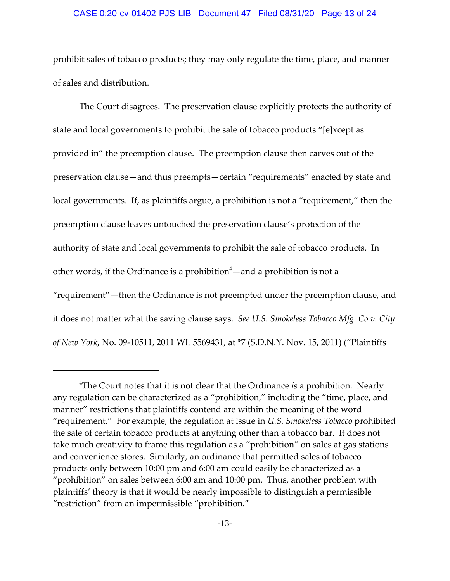#### CASE 0:20-cv-01402-PJS-LIB Document 47 Filed 08/31/20 Page 13 of 24

prohibit sales of tobacco products; they may only regulate the time, place, and manner of sales and distribution.

The Court disagrees. The preservation clause explicitly protects the authority of state and local governments to prohibit the sale of tobacco products "[e]xcept as provided in" the preemption clause. The preemption clause then carves out of the preservation clause—and thus preempts—certain "requirements" enacted by state and local governments. If, as plaintiffs argue, a prohibition is not a "requirement," then the preemption clause leaves untouched the preservation clause's protection of the authority of state and local governments to prohibit the sale of tobacco products. In other words, if the Ordinance is a prohibition $4-$ and a prohibition is not a "requirement"—then the Ordinance is not preempted under the preemption clause, and it does not matter what the saving clause says. *See U.S. Smokeless Tobacco Mfg. Co v. City of New York*, No. 09‐10511, 2011 WL 5569431, at \*7 (S.D.N.Y. Nov. 15, 2011) ("Plaintiffs

<sup>4</sup> The Court notes that it is not clear that the Ordinance *is* a prohibition. Nearly any regulation can be characterized as a "prohibition," including the "time, place, and manner" restrictions that plaintiffs contend are within the meaning of the word "requirement." For example, the regulation at issue in *U.S. Smokeless Tobacco* prohibited the sale of certain tobacco products at anything other than a tobacco bar. It does not take much creativity to frame this regulation as a "prohibition" on sales at gas stations and convenience stores. Similarly, an ordinance that permitted sales of tobacco products only between 10:00 pm and 6:00 am could easily be characterized as a "prohibition" on sales between 6:00 am and 10:00 pm. Thus, another problem with plaintiffs' theory is that it would be nearly impossible to distinguish a permissible "restriction" from an impermissible "prohibition."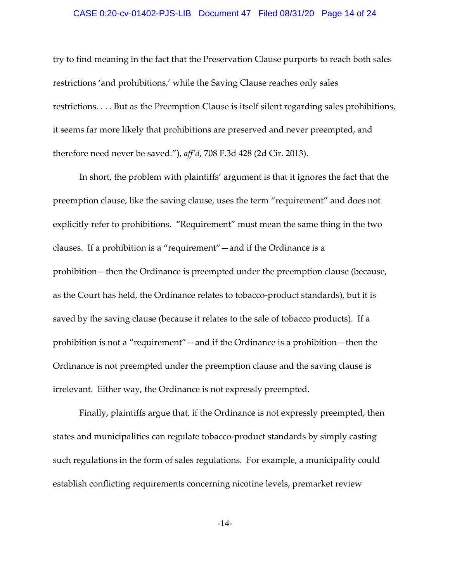#### CASE 0:20-cv-01402-PJS-LIB Document 47 Filed 08/31/20 Page 14 of 24

try to find meaning in the fact that the Preservation Clause purports to reach both sales restrictions 'and prohibitions,' while the Saving Clause reaches only sales restrictions. . . . But as the Preemption Clause is itself silent regarding sales prohibitions, it seems far more likely that prohibitions are preserved and never preempted, and therefore need never be saved."), *aff'd*, 708 F.3d 428 (2d Cir. 2013).

In short, the problem with plaintiffs' argument is that it ignores the fact that the preemption clause, like the saving clause, uses the term "requirement" and does not explicitly refer to prohibitions. "Requirement" must mean the same thing in the two clauses. If a prohibition is a "requirement"—and if the Ordinance is a prohibition—then the Ordinance is preempted under the preemption clause (because, as the Court has held, the Ordinance relates to tobacco‐product standards), but it is saved by the saving clause (because it relates to the sale of tobacco products). If a prohibition is not a "requirement"—and if the Ordinance is a prohibition—then the Ordinance is not preempted under the preemption clause and the saving clause is irrelevant. Either way, the Ordinance is not expressly preempted.

Finally, plaintiffs argue that, if the Ordinance is not expressly preempted, then states and municipalities can regulate tobacco‐product standards by simply casting such regulations in the form of sales regulations. For example, a municipality could establish conflicting requirements concerning nicotine levels, premarket review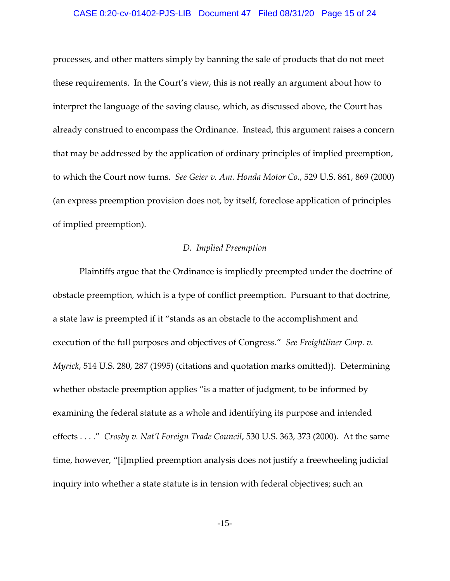#### CASE 0:20-cv-01402-PJS-LIB Document 47 Filed 08/31/20 Page 15 of 24

processes, and other matters simply by banning the sale of products that do not meet these requirements. In the Court's view, this is not really an argument about how to interpret the language of the saving clause, which, as discussed above, the Court has already construed to encompass the Ordinance. Instead, this argument raises a concern that may be addressed by the application of ordinary principles of implied preemption, to which the Court now turns. *See Geier v. Am. Honda Motor Co.*, 529 U.S. 861, 869 (2000) (an express preemption provision does not, by itself, foreclose application of principles of implied preemption).

## *D. Implied Preemption*

Plaintiffs argue that the Ordinance is impliedly preempted under the doctrine of obstacle preemption, which is a type of conflict preemption. Pursuant to that doctrine, a state law is preempted if it "stands as an obstacle to the accomplishment and execution of the full purposes and objectives of Congress." *See Freightliner Corp. v. Myrick*, 514 U.S. 280, 287 (1995) (citations and quotation marks omitted)). Determining whether obstacle preemption applies "is a matter of judgment, to be informed by examining the federal statute as a whole and identifying its purpose and intended effects . . . ." *Crosby v. Nat'l Foreign Trade Council*, 530 U.S. 363, 373 (2000). At the same time, however, "[i]mplied preemption analysis does not justify a freewheeling judicial inquiry into whether a state statute is in tension with federal objectives; such an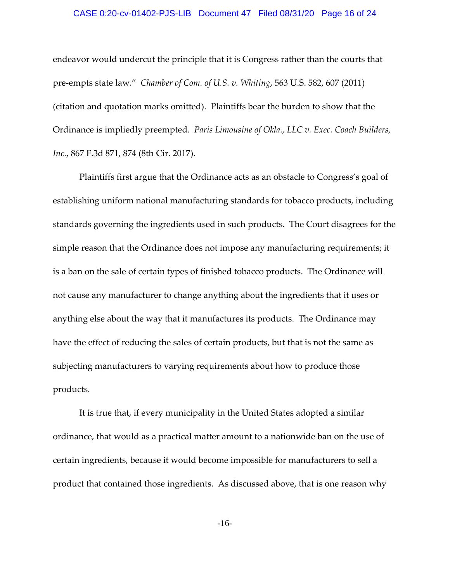## CASE 0:20-cv-01402-PJS-LIB Document 47 Filed 08/31/20 Page 16 of 24

endeavor would undercut the principle that it is Congress rather than the courts that pre‐empts state law." *Chamber of Com. of U.S. v. Whiting*, 563 U.S. 582, 607 (2011) (citation and quotation marks omitted). Plaintiffs bear the burden to show that the Ordinance is impliedly preempted. *Paris Limousine of Okla., LLC v. Exec. Coach Builders, Inc.*, 867 F.3d 871, 874 (8th Cir. 2017).

Plaintiffs first argue that the Ordinance acts as an obstacle to Congress's goal of establishing uniform national manufacturing standards for tobacco products, including standards governing the ingredients used in such products. The Court disagrees for the simple reason that the Ordinance does not impose any manufacturing requirements; it is a ban on the sale of certain types of finished tobacco products. The Ordinance will not cause any manufacturer to change anything about the ingredients that it uses or anything else about the way that it manufactures its products. The Ordinance may have the effect of reducing the sales of certain products, but that is not the same as subjecting manufacturers to varying requirements about how to produce those products.

It is true that, if every municipality in the United States adopted a similar ordinance, that would as a practical matter amount to a nationwide ban on the use of certain ingredients, because it would become impossible for manufacturers to sell a product that contained those ingredients. As discussed above, that is one reason why

-16-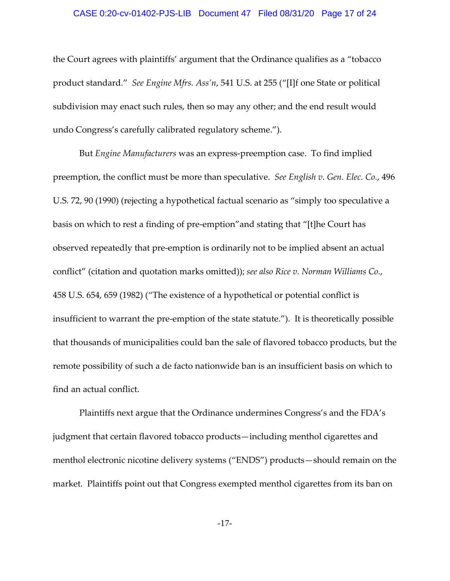#### CASE 0:20-cv-01402-PJS-LIB Document 47 Filed 08/31/20 Page 17 of 24

the Court agrees with plaintiffs' argument that the Ordinance qualifies as a "tobacco product standard." *See Engine Mfrs. Ass'n*, 541 U.S. at 255 ("[I]f one State or political subdivision may enact such rules, then so may any other; and the end result would undo Congress's carefully calibrated regulatory scheme.").

But *Engine Manufacturers* was an express‐preemption case. To find implied preemption, the conflict must be more than speculative. *See English v. Gen. Elec. Co.*, 496 U.S. 72, 90 (1990) (rejecting a hypothetical factual scenario as "simply too speculative a basis on which to rest a finding of pre‐emption"and stating that "[t]he Court has observed repeatedly that pre‐emption is ordinarily not to be implied absent an actual conflict" (citation and quotation marks omitted)); *see also Rice v. Norman Williams Co.*, 458 U.S. 654, 659 (1982) ("The existence of a hypothetical or potential conflict is insufficient to warrant the pre‐emption of the state statute."). It is theoretically possible that thousands of municipalities could ban the sale of flavored tobacco products, but the remote possibility of such a de facto nationwide ban is an insufficient basis on which to find an actual conflict.

Plaintiffs next argue that the Ordinance undermines Congress's and the FDA's judgment that certain flavored tobacco products—including menthol cigarettes and menthol electronic nicotine delivery systems ("ENDS") products—should remain on the market. Plaintiffs point out that Congress exempted menthol cigarettes from its ban on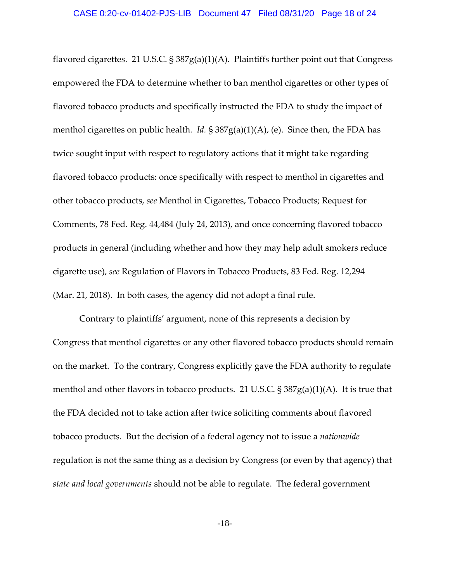flavored cigarettes. 21 U.S.C.  $\S 387g(a)(1)(A)$ . Plaintiffs further point out that Congress empowered the FDA to determine whether to ban menthol cigarettes or other types of flavored tobacco products and specifically instructed the FDA to study the impact of menthol cigarettes on public health. *Id.* § 387g(a)(1)(A), (e). Since then, the FDA has twice sought input with respect to regulatory actions that it might take regarding flavored tobacco products: once specifically with respect to menthol in cigarettes and other tobacco products, *see* Menthol in Cigarettes, Tobacco Products; Request for Comments, 78 Fed. Reg. 44,484 (July 24, 2013), and once concerning flavored tobacco products in general (including whether and how they may help adult smokers reduce cigarette use), *see* Regulation of Flavors in Tobacco Products, 83 Fed. Reg. 12,294 (Mar. 21, 2018). In both cases, the agency did not adopt a final rule.

Contrary to plaintiffs' argument, none of this represents a decision by Congress that menthol cigarettes or any other flavored tobacco products should remain on the market. To the contrary, Congress explicitly gave the FDA authority to regulate menthol and other flavors in tobacco products. 21 U.S.C. § 387g(a)(1)(A). It is true that the FDA decided not to take action after twice soliciting comments about flavored tobacco products. But the decision of a federal agency not to issue a *nationwide* regulation is not the same thing as a decision by Congress (or even by that agency) that *state and local governments* should not be able to regulate. The federal government

-18-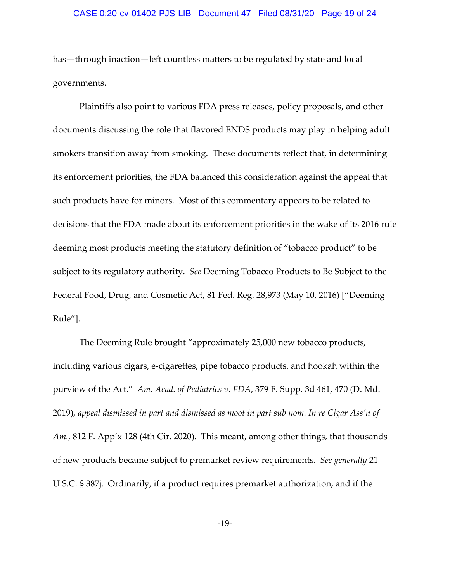### CASE 0:20-cv-01402-PJS-LIB Document 47 Filed 08/31/20 Page 19 of 24

has—through inaction—left countless matters to be regulated by state and local governments.

Plaintiffs also point to various FDA press releases, policy proposals, and other documents discussing the role that flavored ENDS products may play in helping adult smokers transition away from smoking. These documents reflect that, in determining its enforcement priorities, the FDA balanced this consideration against the appeal that such products have for minors. Most of this commentary appears to be related to decisions that the FDA made about its enforcement priorities in the wake of its 2016 rule deeming most products meeting the statutory definition of "tobacco product" to be subject to its regulatory authority. *See* Deeming Tobacco Products to Be Subject to the Federal Food, Drug, and Cosmetic Act, 81 Fed. Reg. 28,973 (May 10, 2016) ["Deeming Rule"].

The Deeming Rule brought "approximately 25,000 new tobacco products, including various cigars, e‐cigarettes, pipe tobacco products, and hookah within the purview of the Act." *Am. Acad. of Pediatrics v. FDA*, 379 F. Supp. 3d 461, 470 (D. Md. 2019), *appeal dismissed in part and dismissed as moot in part sub nom. In re Cigar Ass'n of Am.*, 812 F. App'x 128 (4th Cir. 2020). This meant, among other things, that thousands of new products became subject to premarket review requirements. *See generally* 21 U.S.C. § 387j. Ordinarily, if a product requires premarket authorization, and if the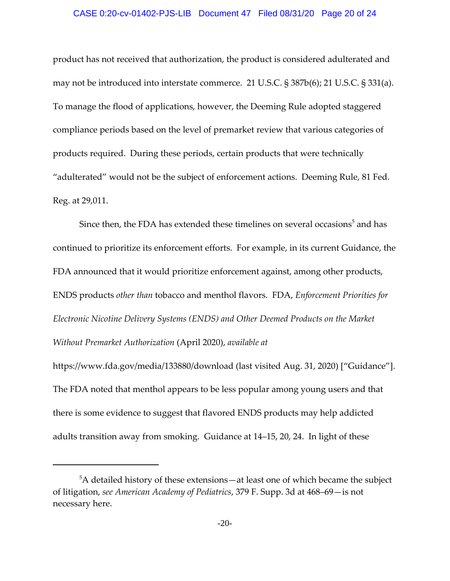### CASE 0:20-cv-01402-PJS-LIB Document 47 Filed 08/31/20 Page 20 of 24

product has not received that authorization, the product is considered adulterated and may not be introduced into interstate commerce. 21 U.S.C. § 387b(6); 21 U.S.C. § 331(a). To manage the flood of applications, however, the Deeming Rule adopted staggered compliance periods based on the level of premarket review that various categories of products required. During these periods, certain products that were technically "adulterated" would not be the subject of enforcement actions. Deeming Rule, 81 Fed. Reg. at 29,011.

Since then, the FDA has extended these timelines on several occasions<sup>5</sup> and has continued to prioritize its enforcement efforts. For example, in its current Guidance, the FDA announced that it would prioritize enforcement against, among other products, ENDS products *other than* tobacco and menthol flavors. FDA, *Enforcement Priorities for Electronic Nicotine Delivery Systems (ENDS) and Other Deemed Products on the Market Without Premarket Authorization* (April 2020), *available at*

https://www.fda.gov/media/133880/download (last visited Aug. 31, 2020) ["Guidance"]. The FDA noted that menthol appears to be less popular among young users and that there is some evidence to suggest that flavored ENDS products may help addicted adults transition away from smoking. Guidance at 14–15, 20, 24. In light of these

 $5$ A detailed history of these extensions—at least one of which became the subject of litigation, *see American Academy of Pediatrics*, 379 F. Supp. 3d at 468–69—is not necessary here.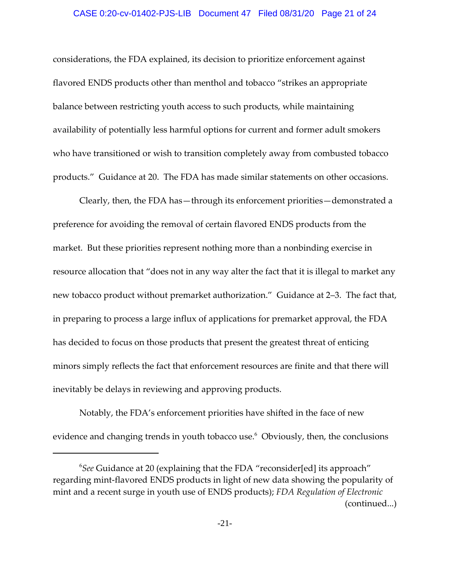### CASE 0:20-cv-01402-PJS-LIB Document 47 Filed 08/31/20 Page 21 of 24

considerations, the FDA explained, its decision to prioritize enforcement against flavored ENDS products other than menthol and tobacco "strikes an appropriate balance between restricting youth access to such products, while maintaining availability of potentially less harmful options for current and former adult smokers who have transitioned or wish to transition completely away from combusted tobacco products." Guidance at 20. The FDA has made similar statements on other occasions.

Clearly, then, the FDA has—through its enforcement priorities—demonstrated a preference for avoiding the removal of certain flavored ENDS products from the market. But these priorities represent nothing more than a nonbinding exercise in resource allocation that "does not in any way alter the fact that it is illegal to market any new tobacco product without premarket authorization." Guidance at 2–3. The fact that, in preparing to process a large influx of applications for premarket approval, the FDA has decided to focus on those products that present the greatest threat of enticing minors simply reflects the fact that enforcement resources are finite and that there will inevitably be delays in reviewing and approving products.

Notably, the FDA's enforcement priorities have shifted in the face of new evidence and changing trends in youth tobacco use. $^6$  Obviously, then, the conclusions

<sup>6</sup> *See* Guidance at 20 (explaining that the FDA "reconsider[ed] its approach" regarding mint‐flavored ENDS products in light of new data showing the popularity of mint and a recent surge in youth use of ENDS products); *FDA Regulation of Electronic* (continued...)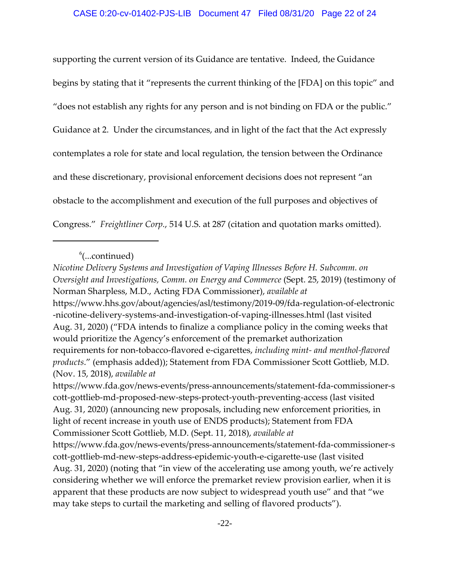### CASE 0:20-cv-01402-PJS-LIB Document 47 Filed 08/31/20 Page 22 of 24

supporting the current version of its Guidance are tentative. Indeed, the Guidance begins by stating that it "represents the current thinking of the [FDA] on this topic" and "does not establish any rights for any person and is not binding on FDA or the public." Guidance at 2. Under the circumstances, and in light of the fact that the Act expressly contemplates a role for state and local regulation, the tension between the Ordinance and these discretionary, provisional enforcement decisions does not represent "an obstacle to the accomplishment and execution of the full purposes and objectives of Congress." *Freightliner Corp.*, 514 U.S. at 287 (citation and quotation marks omitted).

https://www.fda.gov/news‐events/press‐announcements/statement‐fda‐commissioner‐s cott‐gottlieb‐md‐proposed‐new‐steps‐protect‐youth‐preventing‐access (last visited Aug. 31, 2020) (announcing new proposals, including new enforcement priorities, in light of recent increase in youth use of ENDS products); Statement from FDA Commissioner Scott Gottlieb, M.D. (Sept. 11, 2018), *available at* https://www.fda.gov/news‐events/press‐announcements/statement‐fda‐commissioner‐s

cott‐gottlieb‐md‐new‐steps‐address‐epidemic‐youth‐e‐cigarette‐use (last visited Aug. 31, 2020) (noting that "in view of the accelerating use among youth, we're actively considering whether we will enforce the premarket review provision earlier, when it is apparent that these products are now subject to widespread youth use" and that "we may take steps to curtail the marketing and selling of flavored products").

 $^6$ (...continued)

*Nicotine Delivery Systems and Investigation of Vaping Illnesses Before H. Subcomm. on Oversight and Investigations, Comm. on Energy and Commerce* (Sept. 25, 2019) (testimony of Norman Sharpless, M.D., Acting FDA Commissioner), *available at* https://www.hhs.gov/about/agencies/asl/testimony/2019‐09/fda‐regulation‐of‐electronic ‐nicotine‐delivery‐systems‐and‐investigation‐of‐vaping‐illnesses.html (last visited Aug. 31, 2020) ("FDA intends to finalize a compliance policy in the coming weeks that would prioritize the Agency's enforcement of the premarket authorization requirements for non‐tobacco‐flavored e‐cigarettes, *including mint‐ and menthol‐flavored products*." (emphasis added)); Statement from FDA Commissioner Scott Gottlieb, M.D. (Nov. 15, 2018), *available at*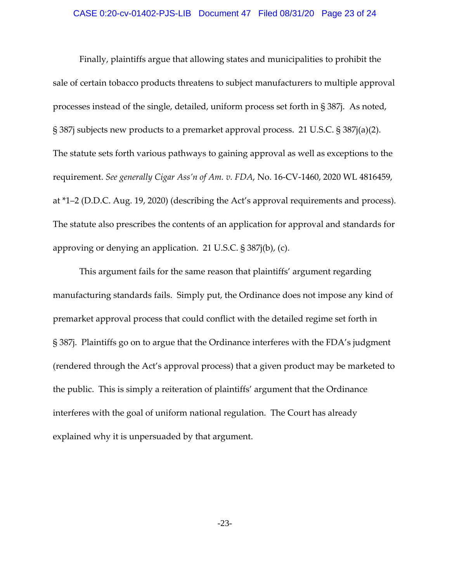## CASE 0:20-cv-01402-PJS-LIB Document 47 Filed 08/31/20 Page 23 of 24

Finally, plaintiffs argue that allowing states and municipalities to prohibit the sale of certain tobacco products threatens to subject manufacturers to multiple approval processes instead of the single, detailed, uniform process set forth in § 387j. As noted, § 387j subjects new products to a premarket approval process. 21 U.S.C. § 387j(a)(2). The statute sets forth various pathways to gaining approval as well as exceptions to the requirement. *See generally Cigar Ass'n of Am. v. FDA*, No. 16‐CV‐1460, 2020 WL 4816459, at \*1–2 (D.D.C. Aug. 19, 2020) (describing the Act's approval requirements and process). The statute also prescribes the contents of an application for approval and standards for approving or denying an application. 21 U.S.C. § 387j(b), (c).

This argument fails for the same reason that plaintiffs' argument regarding manufacturing standards fails. Simply put, the Ordinance does not impose any kind of premarket approval process that could conflict with the detailed regime set forth in § 387j. Plaintiffs go on to argue that the Ordinance interferes with the FDA's judgment (rendered through the Act's approval process) that a given product may be marketed to the public. This is simply a reiteration of plaintiffs' argument that the Ordinance interferes with the goal of uniform national regulation. The Court has already explained why it is unpersuaded by that argument.